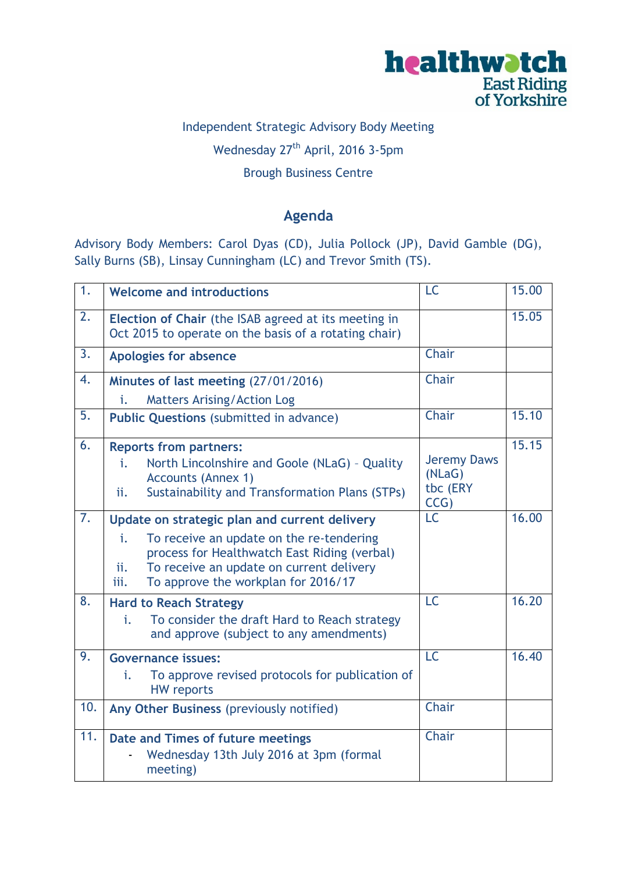

# Independent Strategic Advisory Body Meeting Wednesday 27<sup>th</sup> April, 2016 3-5pm

# Brough Business Centre

### **Agenda**

Advisory Body Members: Carol Dyas (CD), Julia Pollock (JP), David Gamble (DG), Sally Burns (SB), Linsay Cunningham (LC) and Trevor Smith (TS).

| $\overline{1}$ . | <b>Welcome and introductions</b>                                                                                                                                                                                                                  | LC                                               | 15.00 |
|------------------|---------------------------------------------------------------------------------------------------------------------------------------------------------------------------------------------------------------------------------------------------|--------------------------------------------------|-------|
| 2.               | Election of Chair (the ISAB agreed at its meeting in<br>Oct 2015 to operate on the basis of a rotating chair)                                                                                                                                     |                                                  | 15.05 |
| $\overline{3}$ . | <b>Apologies for absence</b>                                                                                                                                                                                                                      | Chair                                            |       |
| 4.               | Minutes of last meeting (27/01/2016)                                                                                                                                                                                                              | Chair                                            |       |
|                  | <b>Matters Arising/Action Log</b><br>i.                                                                                                                                                                                                           |                                                  |       |
| 5.               | <b>Public Questions (submitted in advance)</b>                                                                                                                                                                                                    | Chair                                            | 15.10 |
| 6.               | <b>Reports from partners:</b><br>North Lincolnshire and Goole (NLaG) - Quality<br>i.<br><b>Accounts (Annex 1)</b><br><b>Sustainability and Transformation Plans (STPs)</b><br>ii.                                                                 | <b>Jeremy Daws</b><br>(NLaG)<br>tbc (ERY<br>CCG) | 15.15 |
| $\overline{7}$ . | Update on strategic plan and current delivery<br>To receive an update on the re-tendering<br>i.<br>process for Healthwatch East Riding (verbal)<br>To receive an update on current delivery<br>ii.<br>To approve the workplan for 2016/17<br>iii. | <b>LC</b>                                        | 16.00 |
| 8.               | <b>Hard to Reach Strategy</b><br>To consider the draft Hard to Reach strategy<br>i.<br>and approve (subject to any amendments)                                                                                                                    | <b>LC</b>                                        | 16.20 |
| 9.               | <b>Governance issues:</b><br>To approve revised protocols for publication of<br>i.<br><b>HW</b> reports                                                                                                                                           | <b>LC</b>                                        | 16.40 |
| 10.              | Any Other Business (previously notified)                                                                                                                                                                                                          | Chair                                            |       |
| 11.              | Date and Times of future meetings<br>Wednesday 13th July 2016 at 3pm (formal<br>meeting)                                                                                                                                                          | Chair                                            |       |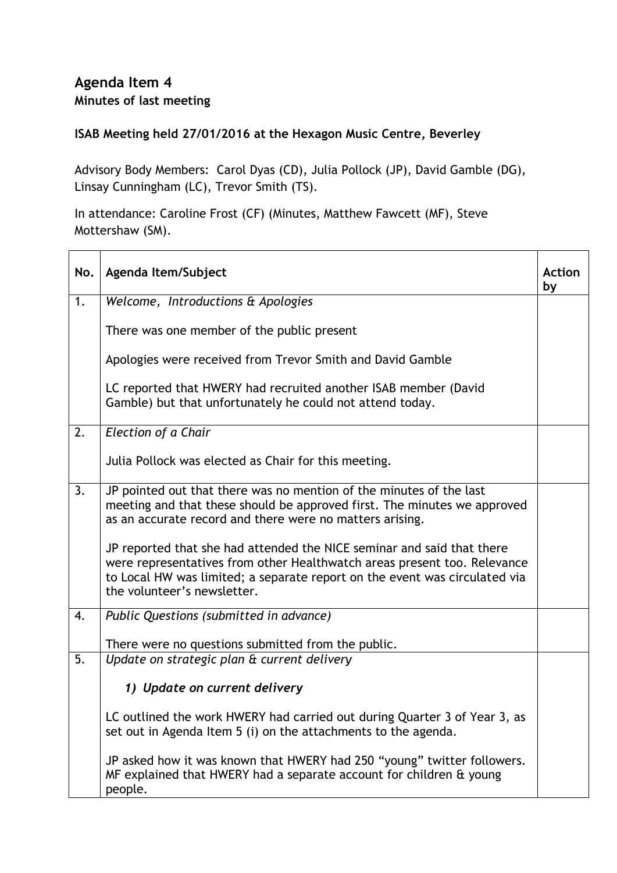#### **Agenda Item 4 Minutes of last meeting**

#### **ISAB Meeting held 27/01/2016 at the Hexagon Music Centre, Beverley**

Advisory Body Members: Carol Dyas (CD), Julia Pollock (JP), David Gamble (DG), Linsay Cunningham (LC), Trevor Smith (TS).

In attendance: Caroline Frost (CF) (Minutes, Matthew Fawcett (MF), Steve Mottershaw (SM).

| No.              | Agenda Item/Subject                                                                                                                                                                                                                                             | <b>Action</b><br>by |
|------------------|-----------------------------------------------------------------------------------------------------------------------------------------------------------------------------------------------------------------------------------------------------------------|---------------------|
| 1.               | Welcome, Introductions & Apologies                                                                                                                                                                                                                              |                     |
|                  | There was one member of the public present                                                                                                                                                                                                                      |                     |
|                  | Apologies were received from Trevor Smith and David Gamble                                                                                                                                                                                                      |                     |
|                  | LC reported that HWERY had recruited another ISAB member (David<br>Gamble) but that unfortunately he could not attend today.                                                                                                                                    |                     |
| $\overline{2}$ . | Election of a Chair                                                                                                                                                                                                                                             |                     |
|                  | Julia Pollock was elected as Chair for this meeting.                                                                                                                                                                                                            |                     |
| 3.               | JP pointed out that there was no mention of the minutes of the last<br>meeting and that these should be approved first. The minutes we approved<br>as an accurate record and there were no matters arising.                                                     |                     |
|                  | JP reported that she had attended the NICE seminar and said that there<br>were representatives from other Healthwatch areas present too. Relevance<br>to Local HW was limited; a separate report on the event was circulated via<br>the volunteer's newsletter. |                     |
| 4.               | Public Questions (submitted in advance)                                                                                                                                                                                                                         |                     |
|                  | There were no questions submitted from the public.                                                                                                                                                                                                              |                     |
| 5.               | Update on strategic plan & current delivery                                                                                                                                                                                                                     |                     |
|                  | 1) Update on current delivery                                                                                                                                                                                                                                   |                     |
|                  | LC outlined the work HWERY had carried out during Quarter 3 of Year 3, as<br>set out in Agenda Item 5 (i) on the attachments to the agenda.                                                                                                                     |                     |
|                  | JP asked how it was known that HWERY had 250 "young" twitter followers.<br>MF explained that HWERY had a separate account for children & young<br>people.                                                                                                       |                     |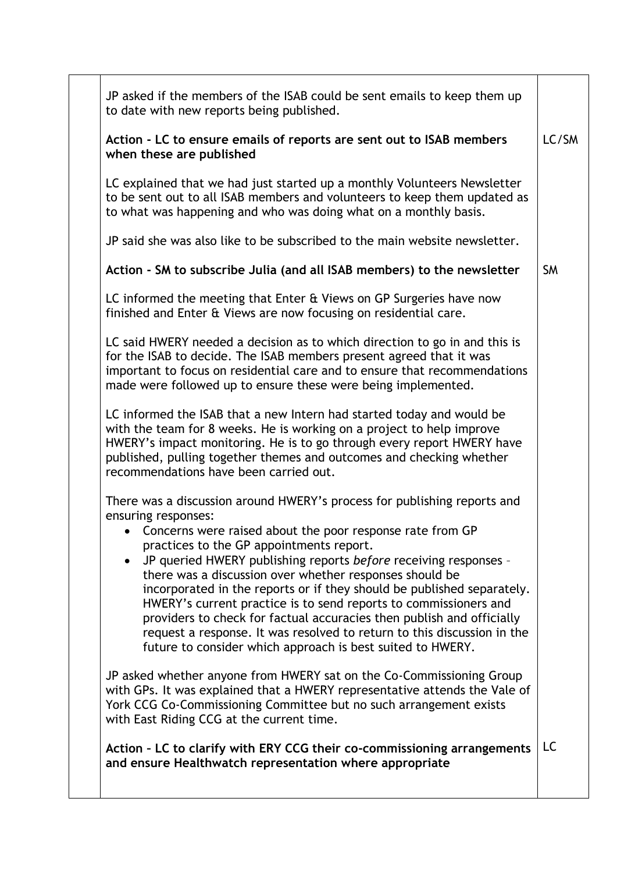| JP asked if the members of the ISAB could be sent emails to keep them up<br>to date with new reports being published.<br>Action - LC to ensure emails of reports are sent out to ISAB members<br>when these are published<br>LC explained that we had just started up a monthly Volunteers Newsletter<br>to be sent out to all ISAB members and volunteers to keep them updated as<br>to what was happening and who was doing what on a monthly basis.                                                                                                                                                                                                                                                    | LC/SM     |
|-----------------------------------------------------------------------------------------------------------------------------------------------------------------------------------------------------------------------------------------------------------------------------------------------------------------------------------------------------------------------------------------------------------------------------------------------------------------------------------------------------------------------------------------------------------------------------------------------------------------------------------------------------------------------------------------------------------|-----------|
|                                                                                                                                                                                                                                                                                                                                                                                                                                                                                                                                                                                                                                                                                                           |           |
|                                                                                                                                                                                                                                                                                                                                                                                                                                                                                                                                                                                                                                                                                                           |           |
|                                                                                                                                                                                                                                                                                                                                                                                                                                                                                                                                                                                                                                                                                                           |           |
| JP said she was also like to be subscribed to the main website newsletter.                                                                                                                                                                                                                                                                                                                                                                                                                                                                                                                                                                                                                                |           |
| Action - SM to subscribe Julia (and all ISAB members) to the newsletter                                                                                                                                                                                                                                                                                                                                                                                                                                                                                                                                                                                                                                   | <b>SM</b> |
| LC informed the meeting that Enter & Views on GP Surgeries have now<br>finished and Enter & Views are now focusing on residential care.                                                                                                                                                                                                                                                                                                                                                                                                                                                                                                                                                                   |           |
| LC said HWERY needed a decision as to which direction to go in and this is<br>for the ISAB to decide. The ISAB members present agreed that it was<br>important to focus on residential care and to ensure that recommendations<br>made were followed up to ensure these were being implemented.                                                                                                                                                                                                                                                                                                                                                                                                           |           |
| LC informed the ISAB that a new Intern had started today and would be<br>with the team for 8 weeks. He is working on a project to help improve<br>HWERY's impact monitoring. He is to go through every report HWERY have<br>published, pulling together themes and outcomes and checking whether<br>recommendations have been carried out.                                                                                                                                                                                                                                                                                                                                                                |           |
| There was a discussion around HWERY's process for publishing reports and<br>ensuring responses:<br>• Concerns were raised about the poor response rate from GP<br>practices to the GP appointments report.<br>JP queried HWERY publishing reports before receiving responses -<br>there was a discussion over whether responses should be<br>incorporated in the reports or if they should be published separately.<br>HWERY's current practice is to send reports to commissioners and<br>providers to check for factual accuracies then publish and officially<br>request a response. It was resolved to return to this discussion in the<br>future to consider which approach is best suited to HWERY. |           |
| JP asked whether anyone from HWERY sat on the Co-Commissioning Group<br>with GPs. It was explained that a HWERY representative attends the Vale of<br>York CCG Co-Commissioning Committee but no such arrangement exists<br>with East Riding CCG at the current time.                                                                                                                                                                                                                                                                                                                                                                                                                                     |           |
| Action - LC to clarify with ERY CCG their co-commissioning arrangements<br>and ensure Healthwatch representation where appropriate                                                                                                                                                                                                                                                                                                                                                                                                                                                                                                                                                                        | LC        |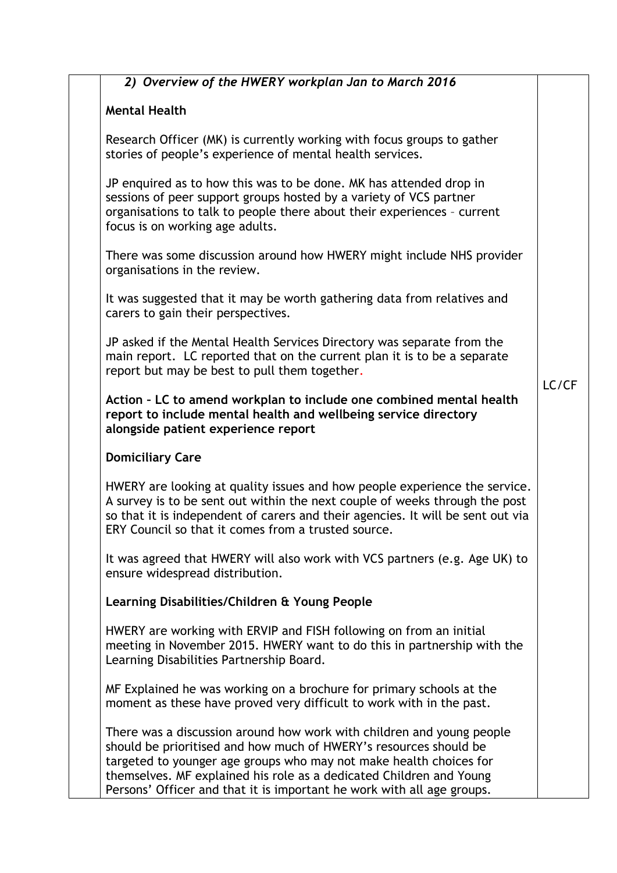| 2) Overview of the HWERY workplan Jan to March 2016                                                                                                                                                                                                                                                                                                               |       |
|-------------------------------------------------------------------------------------------------------------------------------------------------------------------------------------------------------------------------------------------------------------------------------------------------------------------------------------------------------------------|-------|
| <b>Mental Health</b>                                                                                                                                                                                                                                                                                                                                              |       |
| Research Officer (MK) is currently working with focus groups to gather<br>stories of people's experience of mental health services.                                                                                                                                                                                                                               |       |
| JP enquired as to how this was to be done. MK has attended drop in<br>sessions of peer support groups hosted by a variety of VCS partner<br>organisations to talk to people there about their experiences - current<br>focus is on working age adults.                                                                                                            |       |
| There was some discussion around how HWERY might include NHS provider<br>organisations in the review.                                                                                                                                                                                                                                                             |       |
| It was suggested that it may be worth gathering data from relatives and<br>carers to gain their perspectives.                                                                                                                                                                                                                                                     |       |
| JP asked if the Mental Health Services Directory was separate from the<br>main report. LC reported that on the current plan it is to be a separate<br>report but may be best to pull them together.                                                                                                                                                               | LC/CF |
| Action - LC to amend workplan to include one combined mental health<br>report to include mental health and wellbeing service directory<br>alongside patient experience report                                                                                                                                                                                     |       |
| <b>Domiciliary Care</b>                                                                                                                                                                                                                                                                                                                                           |       |
| HWERY are looking at quality issues and how people experience the service.<br>A survey is to be sent out within the next couple of weeks through the post<br>so that it is independent of carers and their agencies. It will be sent out via<br>ERY Council so that it comes from a trusted source.                                                               |       |
| It was agreed that HWERY will also work with VCS partners (e.g. Age UK) to<br>ensure widespread distribution.                                                                                                                                                                                                                                                     |       |
| Learning Disabilities/Children & Young People                                                                                                                                                                                                                                                                                                                     |       |
| HWERY are working with ERVIP and FISH following on from an initial<br>meeting in November 2015. HWERY want to do this in partnership with the<br>Learning Disabilities Partnership Board.                                                                                                                                                                         |       |
| MF Explained he was working on a brochure for primary schools at the<br>moment as these have proved very difficult to work with in the past.                                                                                                                                                                                                                      |       |
| There was a discussion around how work with children and young people<br>should be prioritised and how much of HWERY's resources should be<br>targeted to younger age groups who may not make health choices for<br>themselves. MF explained his role as a dedicated Children and Young<br>Persons' Officer and that it is important he work with all age groups. |       |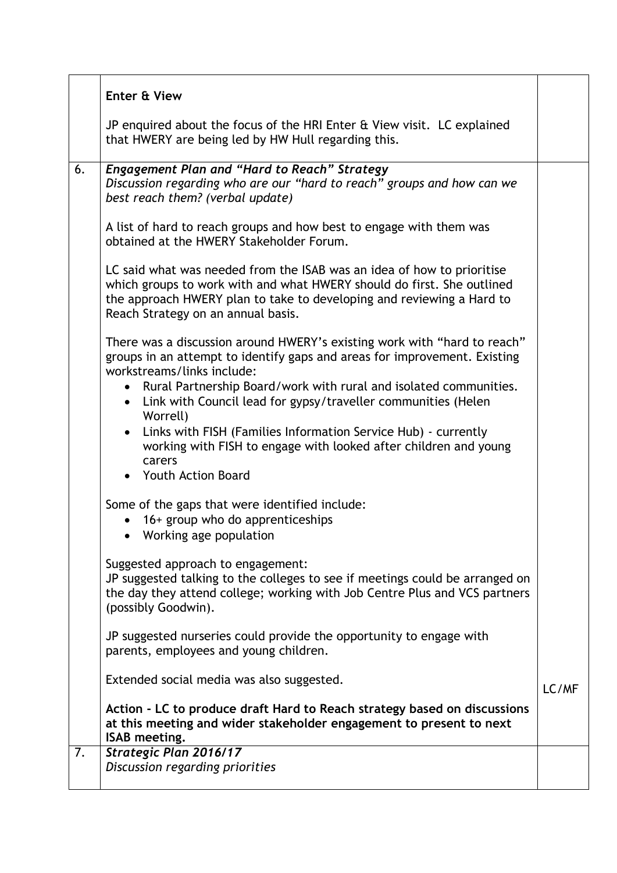|    | Enter & View                                                                                                                                                                                                                                                    |       |
|----|-----------------------------------------------------------------------------------------------------------------------------------------------------------------------------------------------------------------------------------------------------------------|-------|
|    | JP enquired about the focus of the HRI Enter & View visit. LC explained<br>that HWERY are being led by HW Hull regarding this.                                                                                                                                  |       |
| 6. | <b>Engagement Plan and "Hard to Reach" Strategy</b><br>Discussion regarding who are our "hard to reach" groups and how can we<br>best reach them? (verbal update)                                                                                               |       |
|    | A list of hard to reach groups and how best to engage with them was<br>obtained at the HWERY Stakeholder Forum.                                                                                                                                                 |       |
|    | LC said what was needed from the ISAB was an idea of how to prioritise<br>which groups to work with and what HWERY should do first. She outlined<br>the approach HWERY plan to take to developing and reviewing a Hard to<br>Reach Strategy on an annual basis. |       |
|    | There was a discussion around HWERY's existing work with "hard to reach"<br>groups in an attempt to identify gaps and areas for improvement. Existing<br>workstreams/links include:                                                                             |       |
|    | • Rural Partnership Board/work with rural and isolated communities.<br>Link with Council lead for gypsy/traveller communities (Helen<br>$\bullet$<br>Worrell)                                                                                                   |       |
|    | Links with FISH (Families Information Service Hub) - currently<br>$\bullet$<br>working with FISH to engage with looked after children and young<br>carers                                                                                                       |       |
|    | • Youth Action Board                                                                                                                                                                                                                                            |       |
|    | Some of the gaps that were identified include:<br>16+ group who do apprenticeships<br>• Working age population                                                                                                                                                  |       |
|    | Suggested approach to engagement:<br>JP suggested talking to the colleges to see if meetings could be arranged on<br>the day they attend college; working with Job Centre Plus and VCS partners<br>(possibly Goodwin).                                          |       |
|    | JP suggested nurseries could provide the opportunity to engage with<br>parents, employees and young children.                                                                                                                                                   |       |
|    | Extended social media was also suggested.                                                                                                                                                                                                                       | LC/MF |
|    | Action - LC to produce draft Hard to Reach strategy based on discussions<br>at this meeting and wider stakeholder engagement to present to next<br><b>ISAB</b> meeting.                                                                                         |       |
| 7. | Strategic Plan 2016/17<br>Discussion regarding priorities                                                                                                                                                                                                       |       |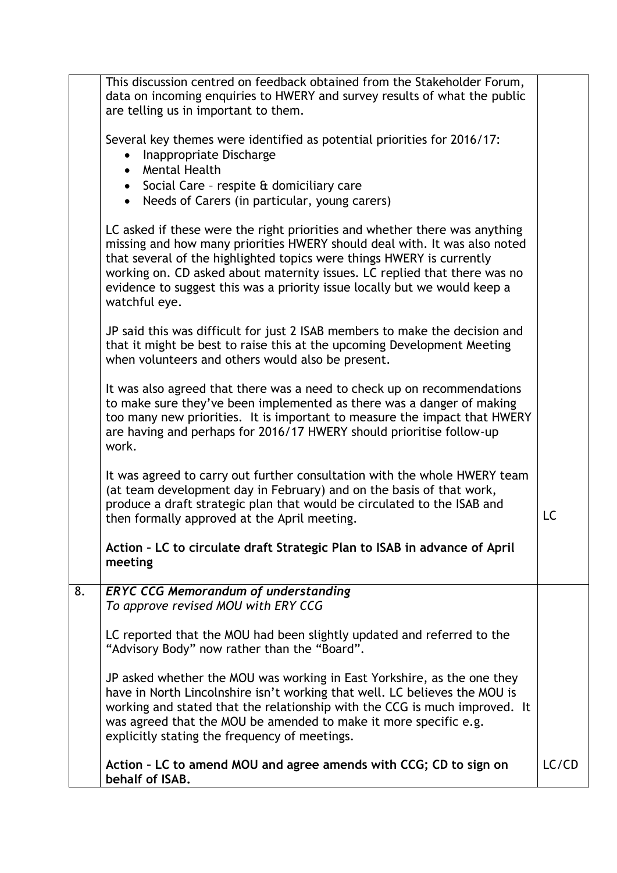|    | This discussion centred on feedback obtained from the Stakeholder Forum,<br>data on incoming enquiries to HWERY and survey results of what the public<br>are telling us in important to them.                                                                                                                                                                                                               |       |
|----|-------------------------------------------------------------------------------------------------------------------------------------------------------------------------------------------------------------------------------------------------------------------------------------------------------------------------------------------------------------------------------------------------------------|-------|
|    | Several key themes were identified as potential priorities for 2016/17:<br>Inappropriate Discharge<br>$\bullet$<br>Mental Health                                                                                                                                                                                                                                                                            |       |
|    | • Social Care - respite & domiciliary care<br>• Needs of Carers (in particular, young carers)                                                                                                                                                                                                                                                                                                               |       |
|    | LC asked if these were the right priorities and whether there was anything<br>missing and how many priorities HWERY should deal with. It was also noted<br>that several of the highlighted topics were things HWERY is currently<br>working on. CD asked about maternity issues. LC replied that there was no<br>evidence to suggest this was a priority issue locally but we would keep a<br>watchful eye. |       |
|    | JP said this was difficult for just 2 ISAB members to make the decision and<br>that it might be best to raise this at the upcoming Development Meeting<br>when volunteers and others would also be present.                                                                                                                                                                                                 |       |
|    | It was also agreed that there was a need to check up on recommendations<br>to make sure they've been implemented as there was a danger of making<br>too many new priorities. It is important to measure the impact that HWERY<br>are having and perhaps for 2016/17 HWERY should prioritise follow-up<br>work.                                                                                              |       |
|    | It was agreed to carry out further consultation with the whole HWERY team<br>(at team development day in February) and on the basis of that work,<br>produce a draft strategic plan that would be circulated to the ISAB and<br>then formally approved at the April meeting.                                                                                                                                | LC    |
|    | Action - LC to circulate draft Strategic Plan to ISAB in advance of April<br>meeting                                                                                                                                                                                                                                                                                                                        |       |
| 8. | <b>ERYC CCG Memorandum of understanding</b><br>To approve revised MOU with ERY CCG                                                                                                                                                                                                                                                                                                                          |       |
|    | LC reported that the MOU had been slightly updated and referred to the<br>"Advisory Body" now rather than the "Board".                                                                                                                                                                                                                                                                                      |       |
|    | JP asked whether the MOU was working in East Yorkshire, as the one they<br>have in North Lincolnshire isn't working that well. LC believes the MOU is<br>working and stated that the relationship with the CCG is much improved. It<br>was agreed that the MOU be amended to make it more specific e.g.<br>explicitly stating the frequency of meetings.                                                    |       |
|    | Action - LC to amend MOU and agree amends with CCG; CD to sign on<br>behalf of ISAB.                                                                                                                                                                                                                                                                                                                        | LC/CD |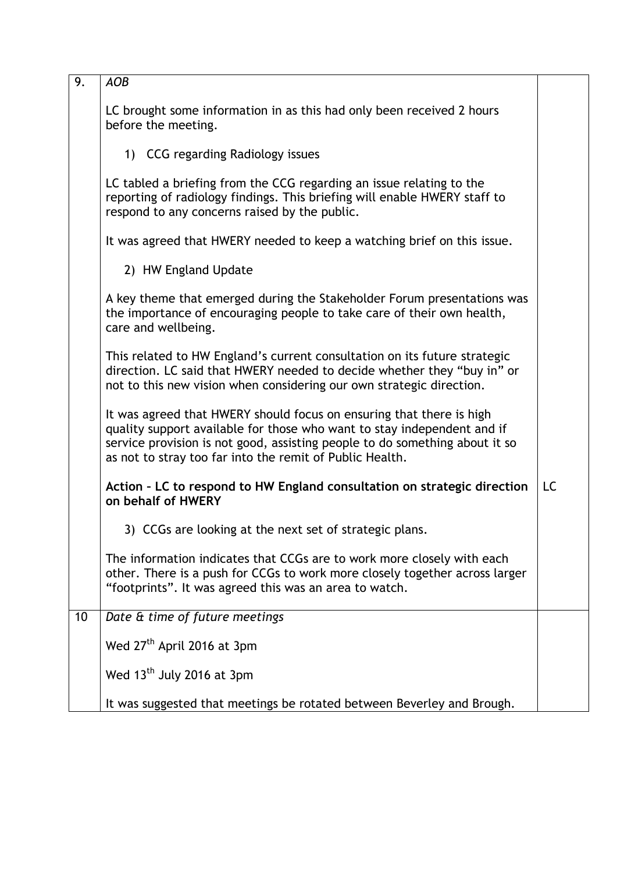| 9. | <b>AOB</b>                                                                                                                                                                                                                                                                                 |           |
|----|--------------------------------------------------------------------------------------------------------------------------------------------------------------------------------------------------------------------------------------------------------------------------------------------|-----------|
|    | LC brought some information in as this had only been received 2 hours<br>before the meeting.                                                                                                                                                                                               |           |
|    | 1) CCG regarding Radiology issues                                                                                                                                                                                                                                                          |           |
|    | LC tabled a briefing from the CCG regarding an issue relating to the<br>reporting of radiology findings. This briefing will enable HWERY staff to<br>respond to any concerns raised by the public.                                                                                         |           |
|    | It was agreed that HWERY needed to keep a watching brief on this issue.                                                                                                                                                                                                                    |           |
|    | 2) HW England Update                                                                                                                                                                                                                                                                       |           |
|    | A key theme that emerged during the Stakeholder Forum presentations was<br>the importance of encouraging people to take care of their own health,<br>care and wellbeing.                                                                                                                   |           |
|    | This related to HW England's current consultation on its future strategic<br>direction. LC said that HWERY needed to decide whether they "buy in" or<br>not to this new vision when considering our own strategic direction.                                                               |           |
|    | It was agreed that HWERY should focus on ensuring that there is high<br>quality support available for those who want to stay independent and if<br>service provision is not good, assisting people to do something about it so<br>as not to stray too far into the remit of Public Health. |           |
|    | Action - LC to respond to HW England consultation on strategic direction<br>on behalf of HWERY                                                                                                                                                                                             | <b>LC</b> |
|    | 3) CCGs are looking at the next set of strategic plans.                                                                                                                                                                                                                                    |           |
|    | The information indicates that CCGs are to work more closely with each<br>other. There is a push for CCGs to work more closely together across larger<br>"footprints". It was agreed this was an area to watch.                                                                            |           |
| 10 | Date & time of future meetings                                                                                                                                                                                                                                                             |           |
|    | Wed 27 <sup>th</sup> April 2016 at 3pm                                                                                                                                                                                                                                                     |           |
|    | Wed 13 <sup>th</sup> July 2016 at 3pm                                                                                                                                                                                                                                                      |           |
|    | It was suggested that meetings be rotated between Beverley and Brough.                                                                                                                                                                                                                     |           |